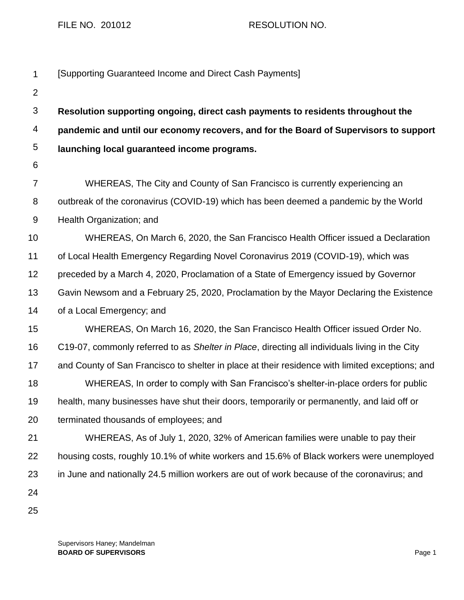## FILE NO. 201012 RESOLUTION NO.

| $\mathbf{1}$   | [Supporting Guaranteed Income and Direct Cash Payments]                                         |
|----------------|-------------------------------------------------------------------------------------------------|
| $\overline{2}$ |                                                                                                 |
| $\mathfrak{S}$ | Resolution supporting ongoing, direct cash payments to residents throughout the                 |
| 4              | pandemic and until our economy recovers, and for the Board of Supervisors to support            |
| 5              | launching local guaranteed income programs.                                                     |
| $\,6$          |                                                                                                 |
| $\overline{7}$ | WHEREAS, The City and County of San Francisco is currently experiencing an                      |
| 8              | outbreak of the coronavirus (COVID-19) which has been deemed a pandemic by the World            |
| 9              | Health Organization; and                                                                        |
| 10             | WHEREAS, On March 6, 2020, the San Francisco Health Officer issued a Declaration                |
| 11             | of Local Health Emergency Regarding Novel Coronavirus 2019 (COVID-19), which was                |
| 12             | preceded by a March 4, 2020, Proclamation of a State of Emergency issued by Governor            |
| 13             | Gavin Newsom and a February 25, 2020, Proclamation by the Mayor Declaring the Existence         |
| 14             | of a Local Emergency; and                                                                       |
| 15             | WHEREAS, On March 16, 2020, the San Francisco Health Officer issued Order No.                   |
| 16             | C19-07, commonly referred to as Shelter in Place, directing all individuals living in the City  |
| 17             | and County of San Francisco to shelter in place at their residence with limited exceptions; and |
| 18             | WHEREAS, In order to comply with San Francisco's shelter-in-place orders for public             |
| 19             | health, many businesses have shut their doors, temporarily or permanently, and laid off or      |
| 20             | terminated thousands of employees; and                                                          |
| 21             | WHEREAS, As of July 1, 2020, 32% of American families were unable to pay their                  |
| 22             | housing costs, roughly 10.1% of white workers and 15.6% of Black workers were unemployed        |
| 23             | in June and nationally 24.5 million workers are out of work because of the coronavirus; and     |
| 24             |                                                                                                 |
| 25             |                                                                                                 |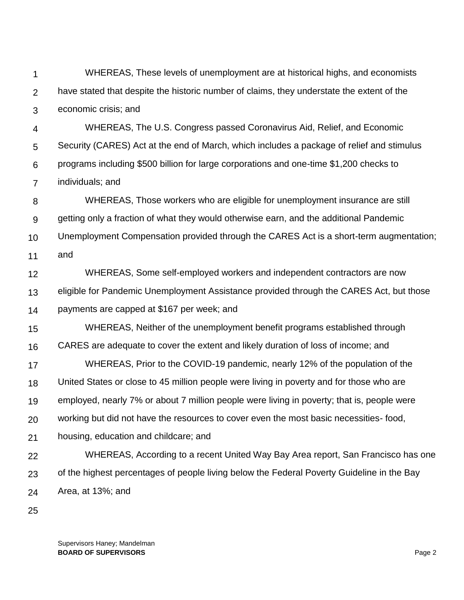1 2 3 WHEREAS, These levels of unemployment are at historical highs, and economists have stated that despite the historic number of claims, they understate the extent of the economic crisis; and

4 5 6 7 WHEREAS, The U.S. Congress passed Coronavirus Aid, Relief, and Economic Security (CARES) Act at the end of March, which includes a package of relief and stimulus programs including \$500 billion for large corporations and one-time \$1,200 checks to individuals; and

8 9 10 11 WHEREAS, Those workers who are eligible for unemployment insurance are still getting only a fraction of what they would otherwise earn, and the additional Pandemic Unemployment Compensation provided through the CARES Act is a short-term augmentation; and

12 13 14 WHEREAS, Some self-employed workers and independent contractors are now eligible for Pandemic Unemployment Assistance provided through the CARES Act, but those payments are capped at \$167 per week; and

15 16 WHEREAS, Neither of the unemployment benefit programs established through CARES are adequate to cover the extent and likely duration of loss of income; and

17 18 19 20 WHEREAS, Prior to the COVID-19 pandemic, nearly 12% of the population of the United States or close to 45 million people were living in poverty and for those who are employed, nearly 7% or about 7 million people were living in poverty; that is, people were working but did not have the resources to cover even the most basic necessities- food,

21 housing, education and childcare; and

22 23 24 WHEREAS, According to a recent United Way Bay Area report, San Francisco has one of the highest percentages of people living below the Federal Poverty Guideline in the Bay Area, at 13%; and

25

Supervisors Haney; Mandelman **BOARD OF SUPERVISORS** Page 2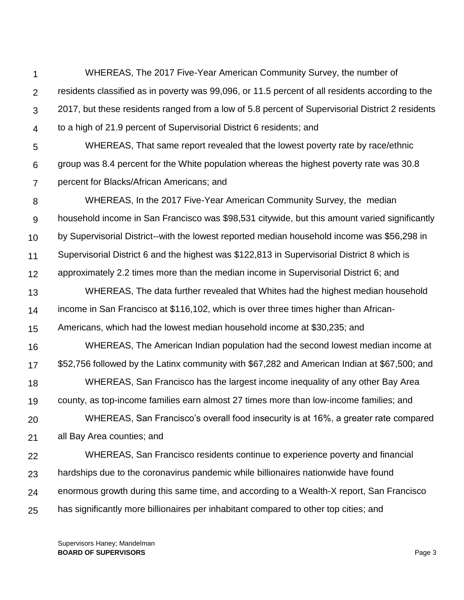1 2 3 4 WHEREAS, The 2017 Five-Year American Community Survey, the number of residents classified as in poverty was 99,096, or 11.5 percent of all residents according to the 2017, but these residents ranged from a low of 5.8 percent of Supervisorial District 2 residents to a high of 21.9 percent of Supervisorial District 6 residents; and

5 6 7 WHEREAS, That same report revealed that the lowest poverty rate by race/ethnic group was 8.4 percent for the White population whereas the highest poverty rate was 30.8 percent for Blacks/African Americans; and

8 9 10 11 12 13 14 15 16 17 18 19 20 21 22 23 WHEREAS, In the 2017 Five-Year American Community Survey, the median household income in San Francisco was \$98,531 citywide, but this amount varied significantly by Supervisorial District--with the lowest reported median household income was \$56,298 in Supervisorial District 6 and the highest was \$122,813 in Supervisorial District 8 which is approximately 2.2 times more than the median income in Supervisorial District 6; and WHEREAS, The data further revealed that Whites had the highest median household income in San Francisco at \$116,102, which is over three times higher than African-Americans, which had the lowest median household income at \$30,235; and WHEREAS, The American Indian population had the second lowest median income at \$52,756 followed by the Latinx community with \$67,282 and American Indian at \$67,500; and WHEREAS, San Francisco has the largest income inequality of any other Bay Area county, as top-income families earn almost 27 times more than low-income families; and WHEREAS, San Francisco's overall food insecurity is at 16%, a greater rate compared all Bay Area counties; and WHEREAS, San Francisco residents continue to experience poverty and financial hardships due to the coronavirus pandemic while billionaires nationwide have found

24 enormous growth during this same time, and according to a Wealth-X report, San Francisco

25 has significantly more billionaires per inhabitant compared to other top cities; and

Supervisors Haney; Mandelman **BOARD OF SUPERVISORS** Page 3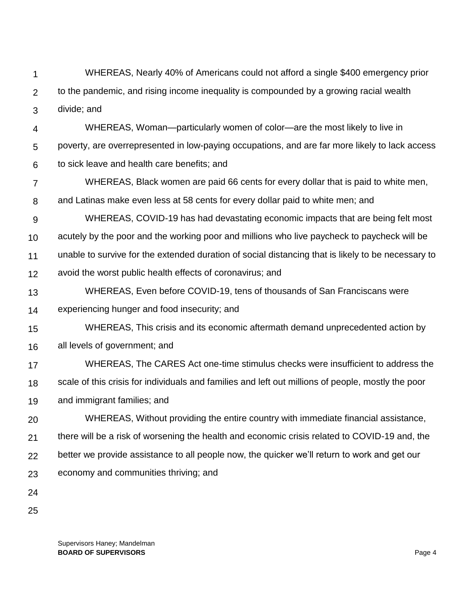- 1 2 3 WHEREAS, Nearly 40% of Americans could not afford a single \$400 emergency prior to the pandemic, and rising income inequality is compounded by a growing racial wealth divide; and
- 4 5 6 WHEREAS, Woman—particularly women of color—are the most likely to live in poverty, are overrepresented in low-paying occupations, and are far more likely to lack access to sick leave and health care benefits; and
- 7 WHEREAS, Black women are paid 66 cents for every dollar that is paid to white men,
- 8 and Latinas make even less at 58 cents for every dollar paid to white men; and
- 9 10 WHEREAS, COVID-19 has had devastating economic impacts that are being felt most acutely by the poor and the working poor and millions who live paycheck to paycheck will be
- 11 unable to survive for the extended duration of social distancing that is likely to be necessary to
- 12 avoid the worst public health effects of coronavirus; and
- 13 WHEREAS, Even before COVID-19, tens of thousands of San Franciscans were
- 14 experiencing hunger and food insecurity; and
- 15 WHEREAS, This crisis and its economic aftermath demand unprecedented action by
- 16 all levels of government; and
- 17 18 WHEREAS, The CARES Act one-time stimulus checks were insufficient to address the scale of this crisis for individuals and families and left out millions of people, mostly the poor
- 19 and immigrant families; and
- 20 21 22 23 WHEREAS, Without providing the entire country with immediate financial assistance, there will be a risk of worsening the health and economic crisis related to COVID-19 and, the better we provide assistance to all people now, the quicker we'll return to work and get our economy and communities thriving; and
- 24
- 25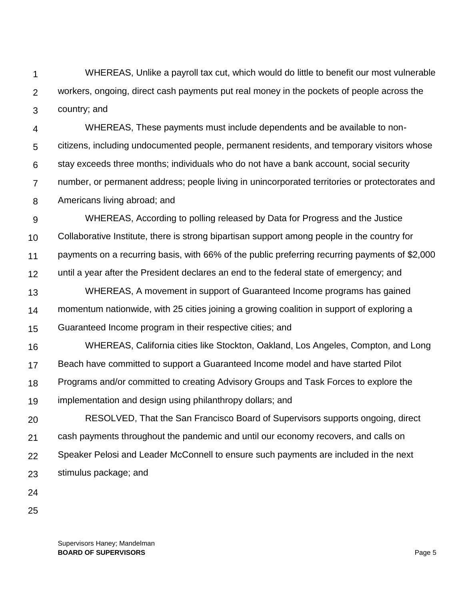1 2 3 WHEREAS, Unlike a payroll tax cut, which would do little to benefit our most vulnerable workers, ongoing, direct cash payments put real money in the pockets of people across the country; and

4 5 6 7 8 WHEREAS, These payments must include dependents and be available to noncitizens, including undocumented people, permanent residents, and temporary visitors whose stay exceeds three months; individuals who do not have a bank account, social security number, or permanent address; people living in unincorporated territories or protectorates and Americans living abroad; and

9 10 11 12 13 WHEREAS, According to polling released by Data for Progress and the Justice Collaborative Institute, there is strong bipartisan support among people in the country for payments on a recurring basis, with 66% of the public preferring recurring payments of \$2,000 until a year after the President declares an end to the federal state of emergency; and WHEREAS, A movement in support of Guaranteed Income programs has gained

14 15 momentum nationwide, with 25 cities joining a growing coalition in support of exploring a Guaranteed Income program in their respective cities; and

16 17 18 19 WHEREAS, California cities like Stockton, Oakland, Los Angeles, Compton, and Long Beach have committed to support a Guaranteed Income model and have started Pilot Programs and/or committed to creating Advisory Groups and Task Forces to explore the implementation and design using philanthropy dollars; and

20 21 22 23 RESOLVED, That the San Francisco Board of Supervisors supports ongoing, direct cash payments throughout the pandemic and until our economy recovers, and calls on Speaker Pelosi and Leader McConnell to ensure such payments are included in the next stimulus package; and

24

25